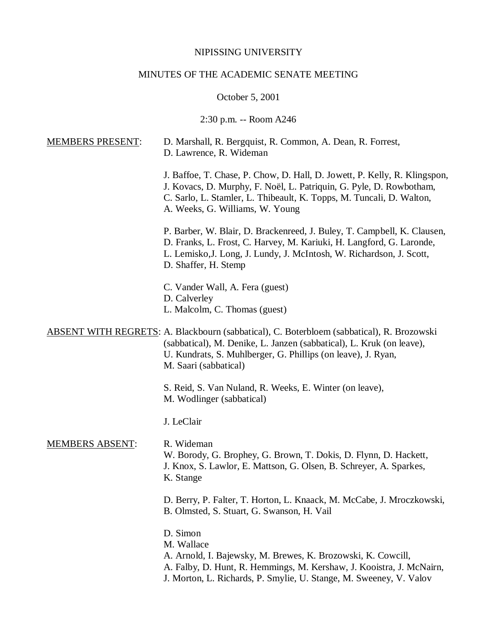# NIPISSING UNIVERSITY

# MINUTES OF THE ACADEMIC SENATE MEETING

October 5, 2001

2:30 p.m. -- Room A246

| <b>MEMBERS PRESENT:</b> | D. Marshall, R. Bergquist, R. Common, A. Dean, R. Forrest,<br>D. Lawrence, R. Wideman                                                                                                                                                                       |
|-------------------------|-------------------------------------------------------------------------------------------------------------------------------------------------------------------------------------------------------------------------------------------------------------|
|                         | J. Baffoe, T. Chase, P. Chow, D. Hall, D. Jowett, P. Kelly, R. Klingspon,<br>J. Kovacs, D. Murphy, F. Noël, L. Patriquin, G. Pyle, D. Rowbotham,<br>C. Sarlo, L. Stamler, L. Thibeault, K. Topps, M. Tuncali, D. Walton,<br>A. Weeks, G. Williams, W. Young |
|                         | P. Barber, W. Blair, D. Brackenreed, J. Buley, T. Campbell, K. Clausen,<br>D. Franks, L. Frost, C. Harvey, M. Kariuki, H. Langford, G. Laronde,<br>L. Lemisko, J. Long, J. Lundy, J. McIntosh, W. Richardson, J. Scott,<br>D. Shaffer, H. Stemp             |
|                         | C. Vander Wall, A. Fera (guest)<br>D. Calverley<br>L. Malcolm, C. Thomas (guest)                                                                                                                                                                            |
|                         | ABSENT WITH REGRETS: A. Blackbourn (sabbatical), C. Boterbloem (sabbatical), R. Brozowski<br>(sabbatical), M. Denike, L. Janzen (sabbatical), L. Kruk (on leave),<br>U. Kundrats, S. Muhlberger, G. Phillips (on leave), J. Ryan,<br>M. Saari (sabbatical)  |
|                         | S. Reid, S. Van Nuland, R. Weeks, E. Winter (on leave),<br>M. Wodlinger (sabbatical)                                                                                                                                                                        |
|                         | J. LeClair                                                                                                                                                                                                                                                  |
| <b>MEMBERS ABSENT:</b>  | R. Wideman<br>W. Borody, G. Brophey, G. Brown, T. Dokis, D. Flynn, D. Hackett,<br>J. Knox, S. Lawlor, E. Mattson, G. Olsen, B. Schreyer, A. Sparkes,<br>K. Stange                                                                                           |
|                         | D. Berry, P. Falter, T. Horton, L. Knaack, M. McCabe, J. Mroczkowski,<br>B. Olmsted, S. Stuart, G. Swanson, H. Vail                                                                                                                                         |
|                         | D. Simon<br>M. Wallace<br>A. Arnold, I. Bajewsky, M. Brewes, K. Brozowski, K. Cowcill,<br>A. Falby, D. Hunt, R. Hemmings, M. Kershaw, J. Kooistra, J. McNairn,<br>J. Morton, L. Richards, P. Smylie, U. Stange, M. Sweeney, V. Valov                        |
|                         |                                                                                                                                                                                                                                                             |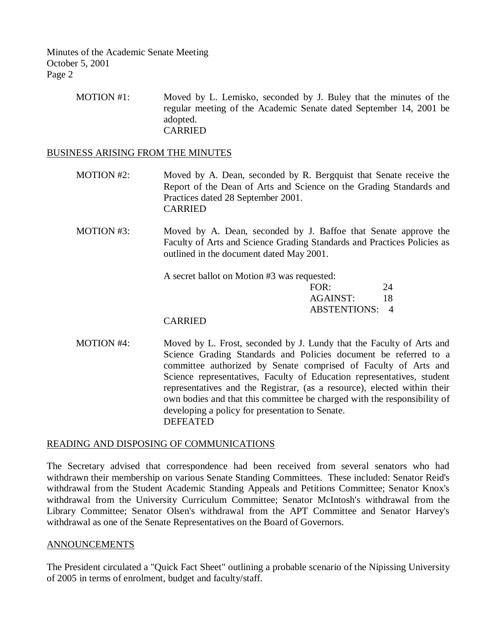> MOTION #1: Moved by L. Lemisko, seconded by J. Buley that the minutes of the regular meeting of the Academic Senate dated September 14, 2001 be adopted. CARRIED

#### BUSINESS ARISING FROM THE MINUTES

- MOTION #2: Moved by A. Dean, seconded by R. Bergquist that Senate receive the Report of the Dean of Arts and Science on the Grading Standards and Practices dated 28 September 2001. CARRIED
- MOTION #3: Moved by A. Dean, seconded by J. Baffoe that Senate approve the Faculty of Arts and Science Grading Standards and Practices Policies as outlined in the document dated May 2001.

A secret ballot on Motion #3 was requested:

| FOR:           | 24 |
|----------------|----|
| AGAINST:       | 18 |
| ABSTENTIONS: 4 |    |

#### CARRIED

MOTION #4: Moved by L. Frost, seconded by J. Lundy that the Faculty of Arts and Science Grading Standards and Policies document be referred to a committee authorized by Senate comprised of Faculty of Arts and Science representatives, Faculty of Education representatives, student representatives and the Registrar, (as a resource), elected within their own bodies and that this committee be charged with the responsibility of developing a policy for presentation to Senate. DEFEATED

## READING AND DISPOSING OF COMMUNICATIONS

The Secretary advised that correspondence had been received from several senators who had withdrawn their membership on various Senate Standing Committees. These included: Senator Reid's withdrawal from the Student Academic Standing Appeals and Petitions Committee; Senator Knox's withdrawal from the University Curriculum Committee; Senator McIntosh's withdrawal from the Library Committee; Senator Olsen's withdrawal from the APT Committee and Senator Harvey's withdrawal as one of the Senate Representatives on the Board of Governors.

## ANNOUNCEMENTS

The President circulated a "Quick Fact Sheet" outlining a probable scenario of the Nipissing University of 2005 in terms of enrolment, budget and faculty/staff.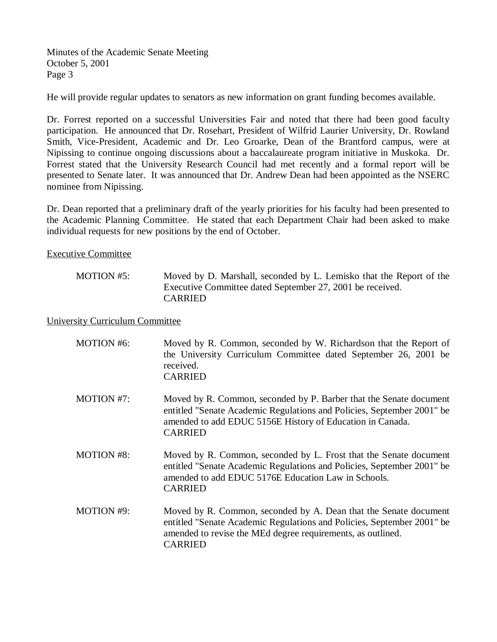He will provide regular updates to senators as new information on grant funding becomes available.

Dr. Forrest reported on a successful Universities Fair and noted that there had been good faculty participation. He announced that Dr. Rosehart, President of Wilfrid Laurier University, Dr. Rowland Smith, Vice-President, Academic and Dr. Leo Groarke, Dean of the Brantford campus, were at Nipissing to continue ongoing discussions about a baccalaureate program initiative in Muskoka. Dr. Forrest stated that the University Research Council had met recently and a formal report will be presented to Senate later. It was announced that Dr. Andrew Dean had been appointed as the NSERC nominee from Nipissing.

Dr. Dean reported that a preliminary draft of the yearly priorities for his faculty had been presented to the Academic Planning Committee. He stated that each Department Chair had been asked to make individual requests for new positions by the end of October.

Executive Committee

MOTION #5: Moved by D. Marshall, seconded by L. Lemisko that the Report of the Executive Committee dated September 27, 2001 be received. CARRIED

University Curriculum Committee

| MOTION #6:        | Moved by R. Common, seconded by W. Richardson that the Report of<br>the University Curriculum Committee dated September 26, 2001 be<br>received.<br><b>CARRIED</b>                                                          |
|-------------------|-----------------------------------------------------------------------------------------------------------------------------------------------------------------------------------------------------------------------------|
| MOTION #7:        | Moved by R. Common, seconded by P. Barber that the Senate document<br>entitled "Senate Academic Regulations and Policies, September 2001" be<br>amended to add EDUC 5156E History of Education in Canada.<br><b>CARRIED</b> |
| <b>MOTION #8:</b> | Moved by R. Common, seconded by L. Frost that the Senate document<br>entitled "Senate Academic Regulations and Policies, September 2001" be<br>amended to add EDUC 5176E Education Law in Schools.<br><b>CARRIED</b>        |
| MOTION #9:        | Moved by R. Common, seconded by A. Dean that the Senate document<br>entitled "Senate Academic Regulations and Policies, September 2001" be<br>amended to revise the MEd degree requirements, as outlined.<br><b>CARRIED</b> |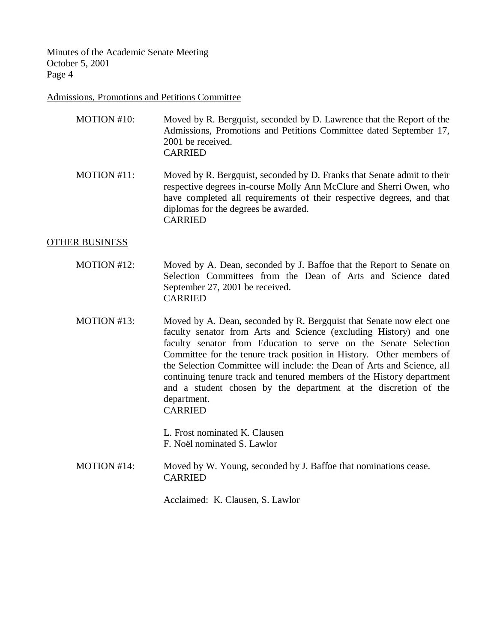## Admissions, Promotions and Petitions Committee

| MOTION #10: | Moved by R. Bergquist, seconded by D. Lawrence that the Report of the |
|-------------|-----------------------------------------------------------------------|
|             | Admissions, Promotions and Petitions Committee dated September 17,    |
|             | 2001 be received.                                                     |
|             | <b>CARRIED</b>                                                        |
|             |                                                                       |

MOTION #11: Moved by R. Bergquist, seconded by D. Franks that Senate admit to their respective degrees in-course Molly Ann McClure and Sherri Owen, who have completed all requirements of their respective degrees, and that diplomas for the degrees be awarded. CARRIED

## OTHER BUSINESS

- MOTION #12: Moved by A. Dean, seconded by J. Baffoe that the Report to Senate on Selection Committees from the Dean of Arts and Science dated September 27, 2001 be received. CARRIED
- MOTION #13: Moved by A. Dean, seconded by R. Bergquist that Senate now elect one faculty senator from Arts and Science (excluding History) and one faculty senator from Education to serve on the Senate Selection Committee for the tenure track position in History. Other members of the Selection Committee will include: the Dean of Arts and Science, all continuing tenure track and tenured members of the History department and a student chosen by the department at the discretion of the department. CARRIED

L. Frost nominated K. Clausen F. Noël nominated S. Lawlor

MOTION #14: Moved by W. Young, seconded by J. Baffoe that nominations cease. CARRIED

Acclaimed: K. Clausen, S. Lawlor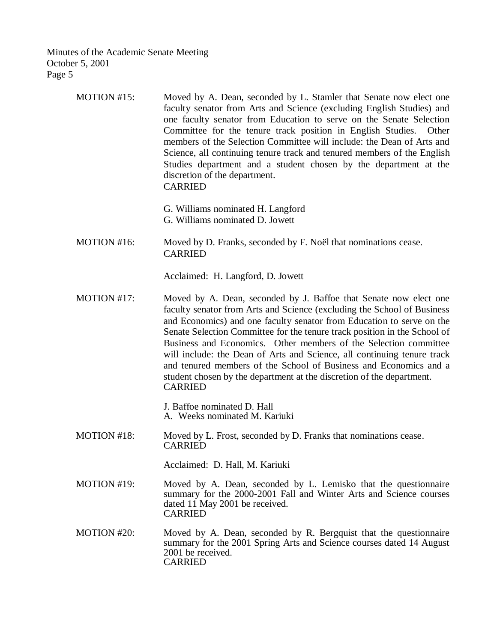| MOTION $#15$ : | Moved by A. Dean, seconded by L. Stamler that Senate now elect one      |
|----------------|-------------------------------------------------------------------------|
|                | faculty senator from Arts and Science (excluding English Studies) and   |
|                | one faculty senator from Education to serve on the Senate Selection     |
|                | Committee for the tenure track position in English Studies. Other       |
|                | members of the Selection Committee will include: the Dean of Arts and   |
|                | Science, all continuing tenure track and tenured members of the English |
|                | Studies department and a student chosen by the department at the        |
|                | discretion of the department.                                           |
|                | <b>CARRIED</b>                                                          |

- G. Williams nominated H. Langford
- G. Williams nominated D. Jowett
- MOTION #16: Moved by D. Franks, seconded by F. Noël that nominations cease. CARRIED

Acclaimed: H. Langford, D. Jowett

MOTION #17: Moved by A. Dean, seconded by J. Baffoe that Senate now elect one faculty senator from Arts and Science (excluding the School of Business and Economics) and one faculty senator from Education to serve on the Senate Selection Committee for the tenure track position in the School of Business and Economics. Other members of the Selection committee will include: the Dean of Arts and Science, all continuing tenure track and tenured members of the School of Business and Economics and a student chosen by the department at the discretion of the department. CARRIED

> J. Baffoe nominated D. Hall A. Weeks nominated M. Kariuki

MOTION #18: Moved by L. Frost, seconded by D. Franks that nominations cease. CARRIED

Acclaimed: D. Hall, M. Kariuki

- MOTION #19: Moved by A. Dean, seconded by L. Lemisko that the questionnaire summary for the 2000-2001 Fall and Winter Arts and Science courses dated 11 May 2001 be received. CARRIED
- MOTION #20: Moved by A. Dean, seconded by R. Bergquist that the questionnaire summary for the 2001 Spring Arts and Science courses dated 14 August 2001 be received. CARRIED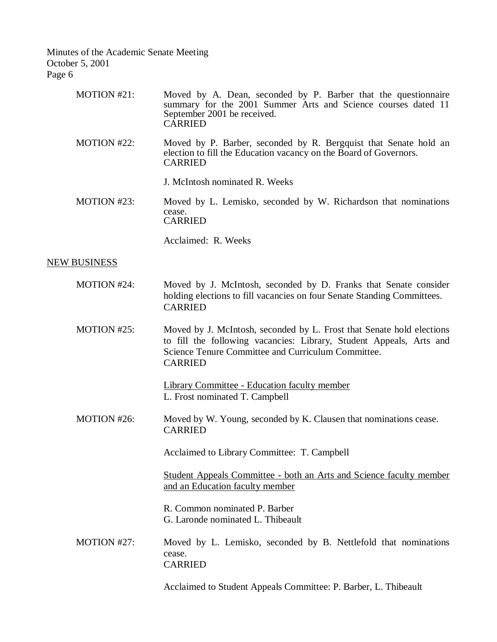| MOTION #21:         | Moved by A. Dean, seconded by P. Barber that the questionnaire<br>summary for the 2001 Summer Arts and Science courses dated 11<br>September 2001 be received.<br><b>CARRIED</b>                                     |
|---------------------|----------------------------------------------------------------------------------------------------------------------------------------------------------------------------------------------------------------------|
| MOTION #22:         | Moved by P. Barber, seconded by R. Bergquist that Senate hold an<br>election to fill the Education vacancy on the Board of Governors.<br><b>CARRIED</b>                                                              |
|                     | J. McIntosh nominated R. Weeks                                                                                                                                                                                       |
| MOTION #23:         | Moved by L. Lemisko, seconded by W. Richardson that nominations<br>cease.<br><b>CARRIED</b>                                                                                                                          |
|                     | Acclaimed: R. Weeks                                                                                                                                                                                                  |
| <b>NEW BUSINESS</b> |                                                                                                                                                                                                                      |
| MOTION #24:         | Moved by J. McIntosh, seconded by D. Franks that Senate consider<br>holding elections to fill vacancies on four Senate Standing Committees.<br><b>CARRIED</b>                                                        |
| MOTION #25:         | Moved by J. McIntosh, seconded by L. Frost that Senate hold elections<br>to fill the following vacancies: Library, Student Appeals, Arts and<br>Science Tenure Committee and Curriculum Committee.<br><b>CARRIED</b> |
|                     | <b>Library Committee - Education faculty member</b><br>L. Frost nominated T. Campbell                                                                                                                                |
| MOTION #26:         | Moved by W. Young, seconded by K. Clausen that nominations cease.<br><b>CARRIED</b>                                                                                                                                  |
|                     | Acclaimed to Library Committee: T. Campbell                                                                                                                                                                          |
|                     | Student Appeals Committee - both an Arts and Science faculty member<br>and an Education faculty member                                                                                                               |
|                     | R. Common nominated P. Barber<br>G. Laronde nominated L. Thibeault                                                                                                                                                   |
| MOTION #27:         | Moved by L. Lemisko, seconded by B. Nettlefold that nominations<br>cease.<br><b>CARRIED</b>                                                                                                                          |
|                     | Acclaimed to Student Appeals Committee: P. Barber, L. Thibeault                                                                                                                                                      |